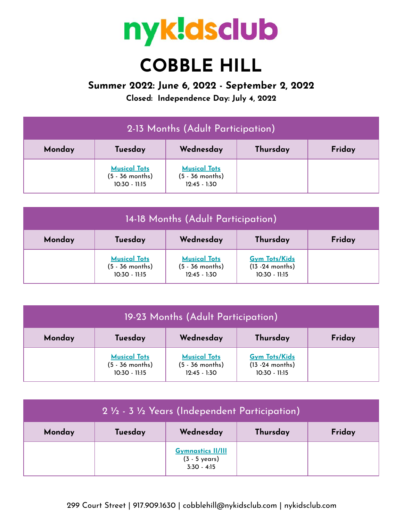

## **COBBLE HILL**

## **Summer 2022: June 6, 2022 - September 2, 2022**

**Closed: Independence Day: July 4, 2022**

| 2-13 Months (Adult Participation) |                                                           |                                                            |          |        |
|-----------------------------------|-----------------------------------------------------------|------------------------------------------------------------|----------|--------|
| Monday                            | Tuesday                                                   | Wednesday                                                  | Thursday | Friday |
|                                   | <b>Musical Tots</b><br>$(5 - 36$ months)<br>10:30 - 11:15 | <b>Musical Tots</b><br>$(5 - 36$ months)<br>$12:45 - 1:30$ |          |        |

| 14-18 Months (Adult Participation) |                                                           |                                                            |                                                             |        |
|------------------------------------|-----------------------------------------------------------|------------------------------------------------------------|-------------------------------------------------------------|--------|
| Monday                             | Tuesday                                                   | Wednesday                                                  | Thursday                                                    | Friday |
|                                    | <b>Musical Tots</b><br>$(5 - 36$ months)<br>10:30 - 11:15 | <b>Musical Tots</b><br>$(5 - 36$ months)<br>$12:45 - 1:30$ | <b>Gym Tots/Kids</b><br>$(13 - 24$ months)<br>10:30 - 11:15 |        |

| 19-23 Months (Adult Participation) |                                                             |                                                            |                                                               |        |
|------------------------------------|-------------------------------------------------------------|------------------------------------------------------------|---------------------------------------------------------------|--------|
| Monday                             | Tuesday                                                     | Wednesday                                                  | Thursday                                                      | Friday |
|                                    | <b>Musical Tots</b><br>$(5 - 36$ months)<br>$10:30 - 11:15$ | <b>Musical Tots</b><br>$(5 - 36$ months)<br>$12:45 - 1:30$ | <b>Gym Tots/Kids</b><br>$(13 - 24$ months)<br>$10:30 - 11:15$ |        |

| 2 1/2 - 3 1/2 Years (Independent Participation) |         |                                                            |          |        |
|-------------------------------------------------|---------|------------------------------------------------------------|----------|--------|
| Monday                                          | Tuesday | Wednesday                                                  | Thursday | Friday |
|                                                 |         | <b>Gymnastics II/III</b><br>(3 - 5 years)<br>$3:30 - 4:15$ |          |        |